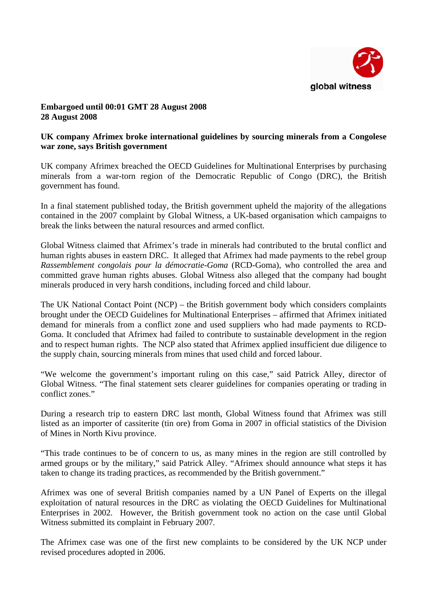

## **Embargoed until 00:01 GMT 28 August 2008 28 August 2008**

## **UK company Afrimex broke international guidelines by sourcing minerals from a Congolese war zone, says British government**

UK company Afrimex breached the OECD Guidelines for Multinational Enterprises by purchasing minerals from a war-torn region of the Democratic Republic of Congo (DRC), the British government has found.

In a final statement published today, the British government upheld the majority of the allegations contained in the 2007 complaint by Global Witness, a UK-based organisation which campaigns to break the links between the natural resources and armed conflict.

Global Witness claimed that Afrimex's trade in minerals had contributed to the brutal conflict and human rights abuses in eastern DRC. It alleged that Afrimex had made payments to the rebel group *Rassemblement congolais pour la démocratie-Goma* (RCD-Goma), who controlled the area and committed grave human rights abuses. Global Witness also alleged that the company had bought minerals produced in very harsh conditions, including forced and child labour.

The UK National Contact Point (NCP) – the British government body which considers complaints brought under the OECD Guidelines for Multinational Enterprises – affirmed that Afrimex initiated demand for minerals from a conflict zone and used suppliers who had made payments to RCD-Goma. It concluded that Afrimex had failed to contribute to sustainable development in the region and to respect human rights. The NCP also stated that Afrimex applied insufficient due diligence to the supply chain, sourcing minerals from mines that used child and forced labour.

"We welcome the government's important ruling on this case," said Patrick Alley, director of Global Witness. "The final statement sets clearer guidelines for companies operating or trading in conflict zones."

During a research trip to eastern DRC last month, Global Witness found that Afrimex was still listed as an importer of cassiterite (tin ore) from Goma in 2007 in official statistics of the Division of Mines in North Kivu province.

"This trade continues to be of concern to us, as many mines in the region are still controlled by armed groups or by the military," said Patrick Alley. "Afrimex should announce what steps it has taken to change its trading practices, as recommended by the British government."

Afrimex was one of several British companies named by a UN Panel of Experts on the illegal exploitation of natural resources in the DRC as violating the OECD Guidelines for Multinational Enterprises in 2002. However, the British government took no action on the case until Global Witness submitted its complaint in February 2007.

The Afrimex case was one of the first new complaints to be considered by the UK NCP under revised procedures adopted in 2006.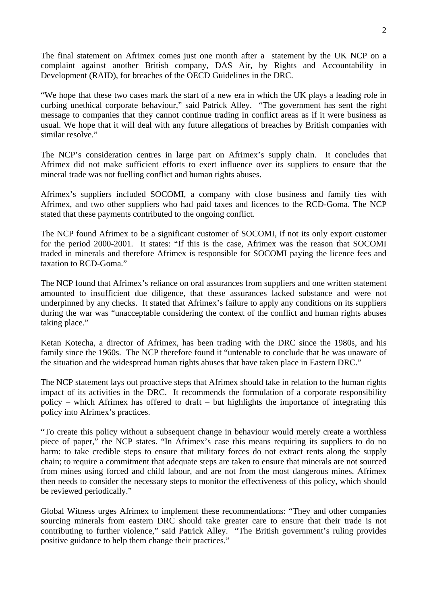The final statement on Afrimex comes just one month after a statement by the UK NCP on a complaint against another British company, DAS Air, by Rights and Accountability in Development (RAID), for breaches of the OECD Guidelines in the DRC.

"We hope that these two cases mark the start of a new era in which the UK plays a leading role in curbing unethical corporate behaviour," said Patrick Alley. "The government has sent the right message to companies that they cannot continue trading in conflict areas as if it were business as usual. We hope that it will deal with any future allegations of breaches by British companies with similar resolve."

The NCP's consideration centres in large part on Afrimex's supply chain. It concludes that Afrimex did not make sufficient efforts to exert influence over its suppliers to ensure that the mineral trade was not fuelling conflict and human rights abuses.

Afrimex's suppliers included SOCOMI, a company with close business and family ties with Afrimex, and two other suppliers who had paid taxes and licences to the RCD-Goma. The NCP stated that these payments contributed to the ongoing conflict.

The NCP found Afrimex to be a significant customer of SOCOMI, if not its only export customer for the period 2000-2001. It states: "If this is the case, Afrimex was the reason that SOCOMI traded in minerals and therefore Afrimex is responsible for SOCOMI paying the licence fees and taxation to RCD-Goma."

The NCP found that Afrimex's reliance on oral assurances from suppliers and one written statement amounted to insufficient due diligence, that these assurances lacked substance and were not underpinned by any checks. It stated that Afrimex's failure to apply any conditions on its suppliers during the war was "unacceptable considering the context of the conflict and human rights abuses taking place."

Ketan Kotecha, a director of Afrimex, has been trading with the DRC since the 1980s, and his family since the 1960s. The NCP therefore found it "untenable to conclude that he was unaware of the situation and the widespread human rights abuses that have taken place in Eastern DRC."

The NCP statement lays out proactive steps that Afrimex should take in relation to the human rights impact of its activities in the DRC. It recommends the formulation of a corporate responsibility policy – which Afrimex has offered to draft – but highlights the importance of integrating this policy into Afrimex's practices.

"To create this policy without a subsequent change in behaviour would merely create a worthless piece of paper," the NCP states. "In Afrimex's case this means requiring its suppliers to do no harm: to take credible steps to ensure that military forces do not extract rents along the supply chain; to require a commitment that adequate steps are taken to ensure that minerals are not sourced from mines using forced and child labour, and are not from the most dangerous mines. Afrimex then needs to consider the necessary steps to monitor the effectiveness of this policy, which should be reviewed periodically."

Global Witness urges Afrimex to implement these recommendations: "They and other companies sourcing minerals from eastern DRC should take greater care to ensure that their trade is not contributing to further violence," said Patrick Alley. "The British government's ruling provides positive guidance to help them change their practices."